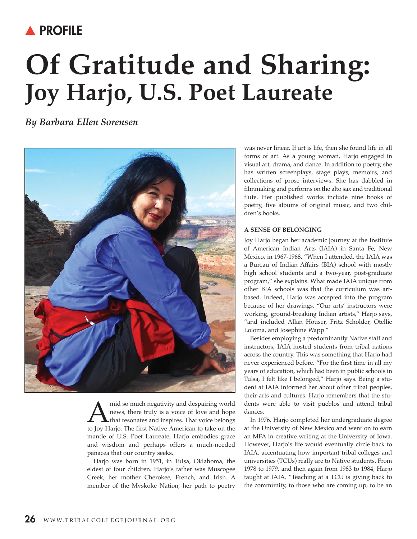# **A PROFILE**

# **Of Gratitude and Sharing: Joy Harjo, U.S. Poet laureate**

*By Barbara Ellen Sorensen*



mid so much negativity and despairing world<br>news, there truly is a voice of love and hope<br>to lov Hario. The first Native American to take on the news, there truly is a voice of love and hope that resonates and inspires. That voice belongs to Joy Harjo. The first Native American to take on the mantle of U.S. Poet Laureate, Harjo embodies grace and wisdom and perhaps offers a much-needed panacea that our country seeks.

Harjo was born in 1951, in Tulsa, Oklahoma, the eldest of four children. Harjo's father was Muscogee Creek, her mother Cherokee, French, and Irish. A member of the Mvskoke Nation, her path to poetry was never linear. If art is life, then she found life in all forms of art. As a young woman, Harjo engaged in visual art, drama, and dance. In addition to poetry, she has written screenplays, stage plays, memoirs, and collections of prose interviews. She has dabbled in filmmaking and performs on the alto sax and traditional flute. Her published works include nine books of poetry, five albums of original music, and two children's books.

#### **A SENSE OF BElONgINg**

Joy Harjo began her academic journey at the Institute of American Indian Arts (IAIA) in Santa Fe, New Mexico, in 1967-1968. "When I attended, the IAIA was a Bureau of Indian Affairs (BIA) school with mostly high school students and a two-year, post-graduate program," she explains. What made IAIA unique from other BIA schools was that the curriculum was artbased. Indeed, Harjo was accepted into the program because of her drawings. "Our arts' instructors were working, ground-breaking Indian artists," Harjo says, "and included Allan Houser, Fritz Scholder, Otellie Loloma, and Josephine Wapp."

Besides employing a predominantly Native staff and instructors, IAIA hosted students from tribal nations across the country. This was something that Harjo had never experienced before. "For the first time in all my years of education, which had been in public schools in Tulsa, I felt like I belonged," Harjo says. Being a student at IAIA informed her about other tribal peoples, their arts and cultures. Harjo remembers that the students were able to visit pueblos and attend tribal dances.

In 1976, Harjo completed her undergraduate degree at the University of New Mexico and went on to earn an MFA in creative writing at the University of Iowa. However, Harjo's life would eventually circle back to IAIA, accentuating how important tribal colleges and universities (TCUs) really are to Native students. From 1978 to 1979, and then again from 1983 to 1984, Harjo taught at IAIA. "Teaching at a TCU is giving back to the community, to those who are coming up, to be an